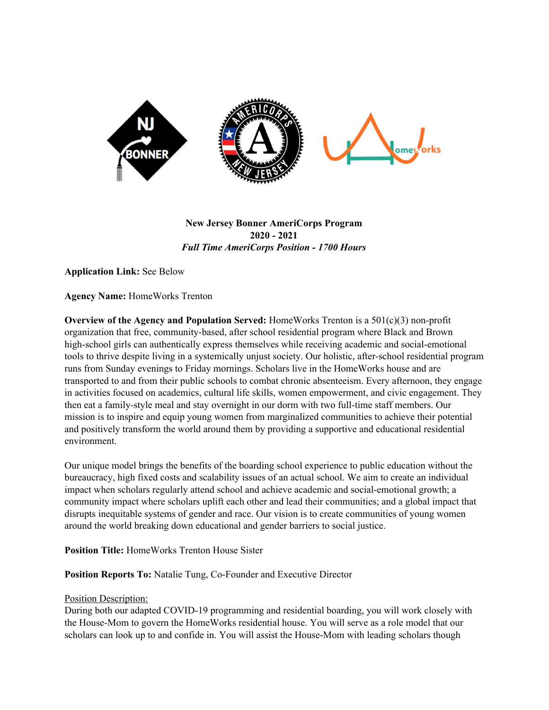

**New Jersey Bonner AmeriCorps Program 2020 - 2021** *Full Time AmeriCorps Position - 1700 Hours*

**Application Link:** See Below

**Agency Name:** HomeWorks Trenton

**Overview of the Agency and Population Served:** HomeWorks Trenton is a 501(c)(3) non-profit organization that free, community-based, after school residential program where Black and Brown high-school girls can authentically express themselves while receiving academic and social-emotional tools to thrive despite living in a systemically unjust society. Our holistic, after-school residential program runs from Sunday evenings to Friday mornings. Scholars live in the HomeWorks house and are transported to and from their public schools to combat chronic absenteeism. Every afternoon, they engage in activities focused on academics, cultural life skills, women empowerment, and civic engagement. They then eat a family-style meal and stay overnight in our dorm with two full-time staff members. Our mission is to inspire and equip young women from marginalized communities to achieve their potential and positively transform the world around them by providing a supportive and educational residential environment.

Our unique model brings the benefits of the boarding school experience to public education without the bureaucracy, high fixed costs and scalability issues of an actual school. We aim to create an individual impact when scholars regularly attend school and achieve academic and social-emotional growth; a community impact where scholars uplift each other and lead their communities; and a global impact that disrupts inequitable systems of gender and race. Our vision is to create communities of young women around the world breaking down educational and gender barriers to social justice.

**Position Title:** HomeWorks Trenton House Sister

**Position Reports To:** Natalie Tung, Co-Founder and Executive Director

### Position Description:

During both our adapted COVID-19 programming and residential boarding, you will work closely with the House-Mom to govern the HomeWorks residential house. You will serve as a role model that our scholars can look up to and confide in. You will assist the House-Mom with leading scholars though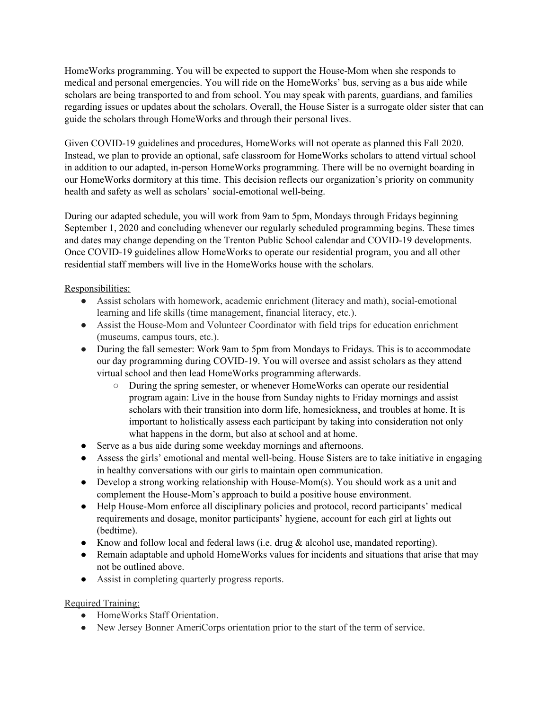HomeWorks programming. You will be expected to support the House-Mom when she responds to medical and personal emergencies. You will ride on the HomeWorks' bus, serving as a bus aide while scholars are being transported to and from school. You may speak with parents, guardians, and families regarding issues or updates about the scholars. Overall, the House Sister is a surrogate older sister that can guide the scholars through HomeWorks and through their personal lives.

Given COVID-19 guidelines and procedures, HomeWorks will not operate as planned this Fall 2020. Instead, we plan to provide an optional, safe classroom for HomeWorks scholars to attend virtual school in addition to our adapted, in-person HomeWorks programming. There will be no overnight boarding in our HomeWorks dormitory at this time. This decision reflects our organization's priority on community health and safety as well as scholars' social-emotional well-being.

During our adapted schedule, you will work from 9am to 5pm, Mondays through Fridays beginning September 1, 2020 and concluding whenever our regularly scheduled programming begins. These times and dates may change depending on the Trenton Public School calendar and COVID-19 developments. Once COVID-19 guidelines allow HomeWorks to operate our residential program, you and all other residential staff members will live in the HomeWorks house with the scholars.

# Responsibilities:

- Assist scholars with homework, academic enrichment (literacy and math), social-emotional learning and life skills (time management, financial literacy, etc.).
- Assist the House-Mom and Volunteer Coordinator with field trips for education enrichment (museums, campus tours, etc.).
- During the fall semester: Work 9am to 5pm from Mondays to Fridays. This is to accommodate our day programming during COVID-19. You will oversee and assist scholars as they attend virtual school and then lead HomeWorks programming afterwards.
	- During the spring semester, or whenever HomeWorks can operate our residential program again: Live in the house from Sunday nights to Friday mornings and assist scholars with their transition into dorm life, homesickness, and troubles at home. It is important to holistically assess each participant by taking into consideration not only what happens in the dorm, but also at school and at home.
- Serve as a bus aide during some weekday mornings and afternoons.
- Assess the girls' emotional and mental well-being. House Sisters are to take initiative in engaging in healthy conversations with our girls to maintain open communication.
- Develop a strong working relationship with House-Mom(s). You should work as a unit and complement the House-Mom's approach to build a positive house environment.
- Help House-Mom enforce all disciplinary policies and protocol, record participants' medical requirements and dosage, monitor participants' hygiene, account for each girl at lights out (bedtime).
- Know and follow local and federal laws (i.e. drug & alcohol use, mandated reporting).
- Remain adaptable and uphold HomeWorks values for incidents and situations that arise that may not be outlined above.
- Assist in completing quarterly progress reports.

# Required Training:

- HomeWorks Staff Orientation.
- New Jersey Bonner AmeriCorps orientation prior to the start of the term of service.